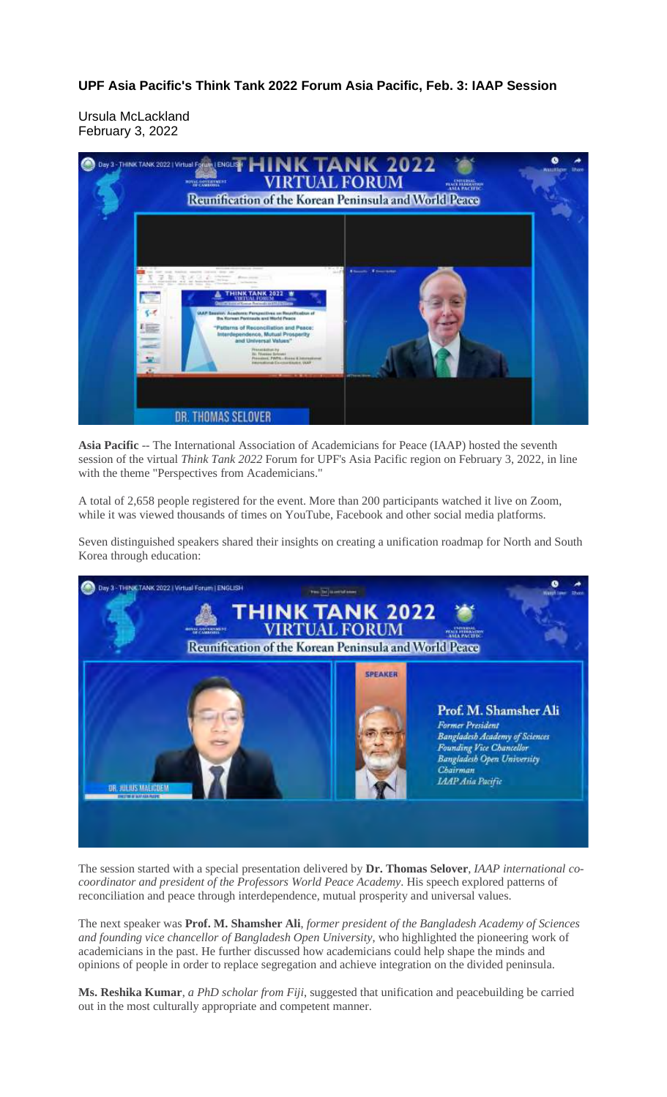**UPF Asia Pacific's Think Tank 2022 Forum Asia Pacific, Feb. 3: IAAP Session**

Ursula McLackland February 3, 2022



**Asia Pacific** -- The International Association of Academicians for Peace (IAAP) hosted the seventh session of the virtual *Think Tank 2022* Forum for UPF's Asia Pacific region on February 3, 2022, in line with the theme "Perspectives from Academicians."

A total of 2,658 people registered for the event. More than 200 participants watched it live on Zoom, while it was viewed thousands of times on YouTube, Facebook and other social media platforms.

Seven distinguished speakers shared their insights on creating a unification roadmap for North and South Korea through education:



The session started with a special presentation delivered by **Dr. Thomas Selover**, *IAAP international cocoordinator and president of the Professors World Peace Academy*. His speech explored patterns of reconciliation and peace through interdependence, mutual prosperity and universal values.

The next speaker was **Prof. M. Shamsher Ali**, *former president of the Bangladesh Academy of Sciences and founding vice chancellor of Bangladesh Open University*, who highlighted the pioneering work of academicians in the past. He further discussed how academicians could help shape the minds and opinions of people in order to replace segregation and achieve integration on the divided peninsula.

**Ms. Reshika Kumar**, *a PhD scholar from Fiji*, suggested that unification and peacebuilding be carried out in the most culturally appropriate and competent manner.